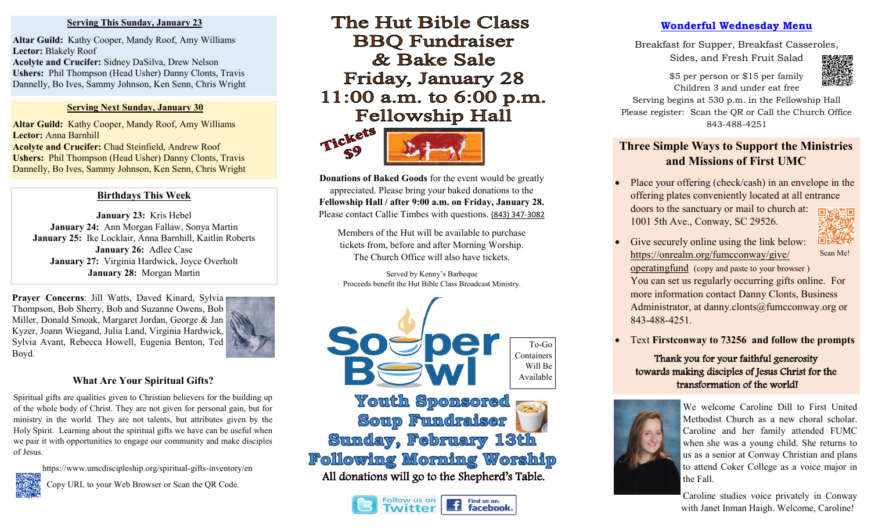#### **Serving This Sunday, January 23**

**Altar Guild:** Kathy Cooper, Mandy Roof, Amy Williams **Lector:** Blakely Roof **Acolyte and Crucifer:** Sidney DaSilva, Drew Nelson **Ushers:** Phil Thompson (Head Usher) Danny Clonts, Travis Dannelly, Bo Ives, Sammy Johnson, Ken Senn, Chris Wright

#### **Serving Next Sunday, January 30**

**Altar Guild:** Kathy Cooper, Mandy Roof, Amy Williams **Lector:** Anna Barnhill **Acolyte and Crucifer:** Chad Steinfield, Andrew Roof **Ushers:** Phil Thompson (Head Usher) Danny Clonts, Travis Dannelly, Bo Ives, Sammy Johnson, Ken Senn, Chris Wright

## **Birthdays This Week**

**January 23:** Kris Hebel **January 24:** Ann Morgan Fallaw, Sonya Martin **January 25:** Ike Locklair, Anna Barnhill, Kaitlin Roberts **January 26:** Adlee Case **January 27:** Virginia Hardwick, Joyce Overholt **January 28:** Morgan Martin

Prayer Concerns: Jill Watts, Daved Kinard, Sylvia Thompson, Bob Sherry, Bob and Suzanne Owens, Bob Miller, Donald Smoak, Margaret Jordan, George & Jan Kyzer, Joann Wiegand, Julia Land, Virginia Hardwick, Sylvia Avant, Rebecca Howell, Eugenia Benton, Ted Boyd.



### **What Are Your Spiritual Gifts?**

Spiritual gifts are qualities given to Christian believers for the building up of the whole body of Christ. They are not given for personal gain, but for ministry in the world. They are not talents, but attributes given by the Holy Spirit. Learning about the spiritual gifts we have can be useful when we pair it with opportunities to engage our community and make disciples of Jesus.

https://www.umcdiscipleship.org/spiritual-gifts-inventory/en



Copy URL to your Web Browser or Scan the QR Code.

# The Hut Bible Class **BBQ** Fundraiser & Bake Sale Friday, January 28 11:00 a.m. to  $6:00$  p.m. **Fellowship Hall**





**Donations of Baked Goods** for the event would be greatly appreciated. Please bring your baked donations to the **Fellowship Hall / after 9:00 a.m. on Friday, January 28.** Please contact Callie Timbes with questions. [\(843\) 347](tel:8433473082)-3082

Members of the Hut will be available to purchase tickets from, before and after Morning Worship. The Church Office will also have tickets.

Served by Kenny's Barbeque Proceeds benefit the Hut Bible Class Broadcast Ministry.





## **Wonderful Wednesday Menu**

Breakfast for Supper, Breakfast Casseroles,

Sides, and Fresh Fruit Salad

\$5 per person or \$15 per family Children 3 and under eat free

Serving begins at 530 p.m. in the Fellowship Hall Please register: Scan the QR or Call the Church Office 843-488-4251

# **Three Simple Ways to Support the Ministries and Missions of First UMC**

- Place your offering (check/cash) in an envelope in the offering plates conveniently located at all entrance doors to the sanctuary or mail to church at: 1001 5th Ave., Conway, SC 29526.
- Give securely online using the link below: [https://onrealm.org/fumcconway/give/](https://onrealm.org/fumcconway/give/operatingfund) [operatingfund](https://onrealm.org/fumcconway/give/operatingfund) (copy and paste to your browser ) You can set us regularly occurring gifts online. For more information contact Danny Clonts, Business Administrator, at danny.clonts@fumcconway.org or 843-488-4251. Scan Me!
- Text **Firstconway to 73256 and follow the prompts**

# Thank you for your faithful generosity towards making disciples of Jesus Christ for the transformation of the world!



We welcome Caroline Dill to First United Methodist Church as a new choral scholar. Caroline and her family attended FUMC when she was a young child. She returns to us as a senior at Conway Christian and plans to attend Coker College as a voice major in the Fall.

Caroline studies voice privately in Conway with Janet Inman Haigh. Welcome, Caroline!